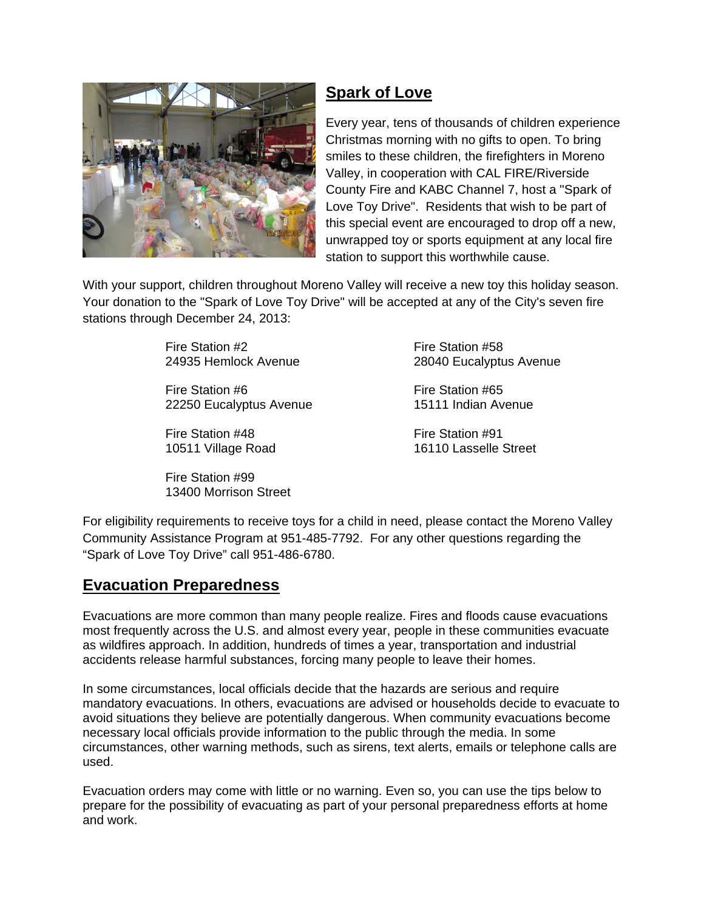

## **Spark of Love**

Every year, tens of thousands of children experience Christmas morning with no gifts to open. To bring smiles to these children, the firefighters in Moreno Valley, in cooperation with CAL FIRE/Riverside County Fire and KABC Channel 7, host a "Spark of Love Toy Drive". Residents that wish to be part of this special event are encouraged to drop off a new, unwrapped toy or sports equipment at any local fire station to support this worthwhile cause.

With your support, children throughout Moreno Valley will receive a new toy this holiday season. Your donation to the "Spark of Love Toy Drive" will be accepted at any of the City's seven fire stations through December 24, 2013:

Fire Station #2 Fire Station #58

Fire Station #6 Fire Station #65 22250 Eucalyptus Avenue 15111 Indian Avenue

Fire Station #48 Fire Station #91

Fire Station #99 13400 Morrison Street

24935 Hemlock Avenue 28040 Eucalyptus Avenue

10511 Village Road 16110 Lasselle Street

For eligibility requirements to receive toys for a child in need, please contact the Moreno Valley Community Assistance Program at 951-485-7792. For any other questions regarding the "Spark of Love Toy Drive" call 951-486-6780.

## **Evacuation Preparedness**

Evacuations are more common than many people realize. Fires and floods cause evacuations most frequently across the U.S. and almost every year, people in these communities evacuate as wildfires approach. In addition, hundreds of times a year, transportation and industrial accidents release harmful substances, forcing many people to leave their homes.

In some circumstances, local officials decide that the hazards are serious and require mandatory evacuations. In others, evacuations are advised or households decide to evacuate to avoid situations they believe are potentially dangerous. When community evacuations become necessary local officials provide information to the public through the media. In some circumstances, other warning methods, such as sirens, text alerts, emails or telephone calls are used.

Evacuation orders may come with little or no warning. Even so, you can use the tips below to prepare for the possibility of evacuating as part of your personal preparedness efforts at home and work.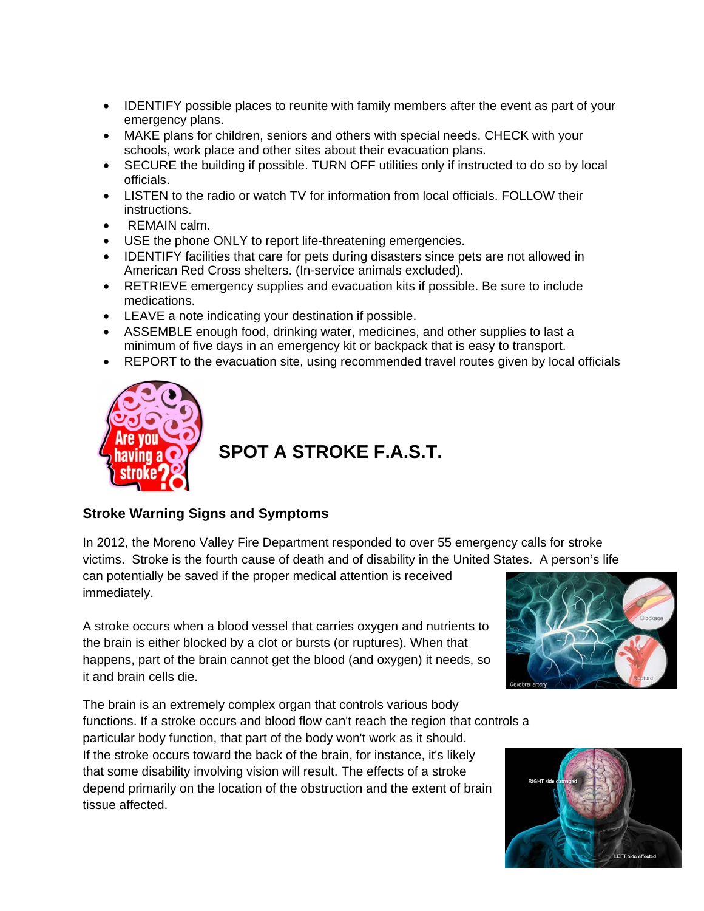- IDENTIFY possible places to reunite with family members after the event as part of your emergency plans.
- MAKE plans for children, seniors and others with special needs. CHECK with your schools, work place and other sites about their evacuation plans.
- SECURE the building if possible. TURN OFF utilities only if instructed to do so by local officials.
- LISTEN to the radio or watch TV for information from local officials. FOLLOW their instructions.
- REMAIN calm.
- USE the phone ONLY to report life-threatening emergencies.
- IDENTIFY facilities that care for pets during disasters since pets are not allowed in American Red Cross shelters. (In-service animals excluded).
- RETRIEVE emergency supplies and evacuation kits if possible. Be sure to include medications.
- LEAVE a note indicating your destination if possible.
- ASSEMBLE enough food, drinking water, medicines, and other supplies to last a minimum of five days in an emergency kit or backpack that is easy to transport.
- REPORT to the evacuation site, using recommended travel routes given by local officials



## **SPOT A STROKE F.A.S.T.**

## **Stroke Warning Signs and Symptoms**

In 2012, the Moreno Valley Fire Department responded to over 55 emergency calls for stroke victims. Stroke is the fourth cause of death and of disability in the United States. A person's life

can potentially be saved if the proper medical attention is received immediately.

A stroke occurs when a blood vessel that carries oxygen and nutrients to the brain is either blocked by a clot or bursts (or ruptures). When that happens, part of the brain cannot get the blood (and oxygen) it needs, so it and brain cells die.

The brain is an extremely complex organ that controls various body functions. If a stroke occurs and blood flow can't reach the region that controls a particular body function, that part of the body won't work as it should. If the stroke occurs toward the back of the brain, for instance, it's likely that some disability involving vision will result. The effects of a stroke depend primarily on the location of the obstruction and the extent of brain tissue affected.